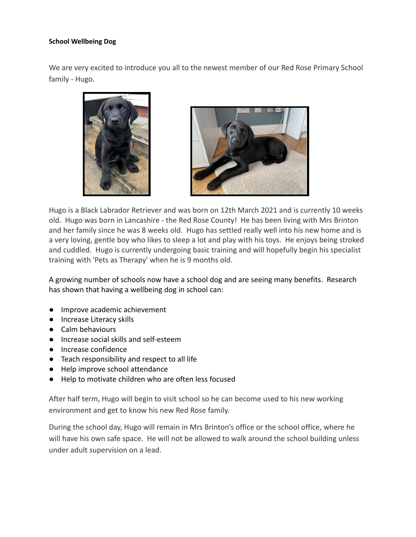## **School Wellbeing Dog**

We are very excited to introduce you all to the newest member of our Red Rose Primary School family - Hugo.





Hugo is a Black Labrador Retriever and was born on 12th March 2021 and is currently 10 weeks old. Hugo was born in Lancashire - the Red Rose County! He has been living with Mrs Brinton and her family since he was 8 weeks old. Hugo has settled really well into his new home and is a very loving, gentle boy who likes to sleep a lot and play with his toys. He enjoys being stroked and cuddled. Hugo is currently undergoing basic training and will hopefully begin his specialist training with 'Pets as Therapy' when he is 9 months old.

A growing number of schools now have a school dog and are seeing many benefits. Research has shown that having a wellbeing dog in school can:

- Improve academic achievement
- Increase Literacy skills
- Calm behaviours
- Increase social skills and self-esteem
- Increase confidence
- Teach responsibility and respect to all life
- Help improve school attendance
- Help to motivate children who are often less focused

After half term, Hugo will begin to visit school so he can become used to his new working environment and get to know his new Red Rose family.

During the school day, Hugo will remain in Mrs Brinton's office or the school office, where he will have his own safe space. He will not be allowed to walk around the school building unless under adult supervision on a lead.